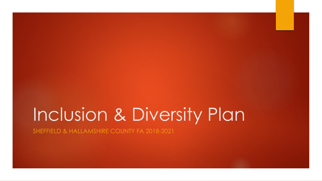# Inclusion & Diversity Plan

SHEFFIELD & HALLAMSHIRE COUNTY FA 2018-2021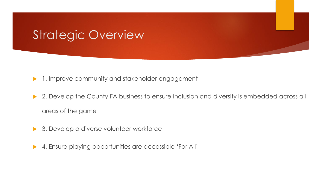### Strategic Overview

- 1. Improve community and stakeholder engagement
- ▶ 2. Develop the County FA business to ensure inclusion and diversity is embedded across all areas of the game
- ▶ 3. Develop a diverse volunteer workforce
- ▶ 4. Ensure playing opportunities are accessible 'For All'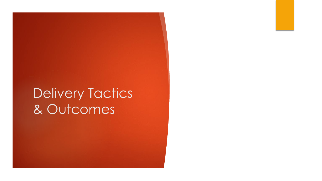## Delivery Tactics & Outcomes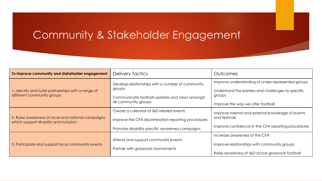#### Community & Stakeholder Engagement

| To improve community and stakeholder engagement                                             | Delivery Tactics                                                                                                                                  | <b>Outcomes</b>                                                                                                                                        |
|---------------------------------------------------------------------------------------------|---------------------------------------------------------------------------------------------------------------------------------------------------|--------------------------------------------------------------------------------------------------------------------------------------------------------|
| 1. Identify and build partnerships with a range of<br>different community groups            | Develop relationships with a number of community<br>groups<br>Communicate football updates and news amongst<br>all community groups               | Improve understanding of under-represented groups<br>Understand the barriers and challenges to specific<br>groups<br>Improve the way we offer football |
| 2. Raise awareness of local and national campaigns<br>which support diversity and inclusion | Create a calendar of I&D related events<br>Improve the CFA discrimination reporting procedures<br>Promote disability specific awareness campaigns | Improve internal and external knowledge of events<br>and festivals<br>Improve confidence in the CFA reporting procedures                               |
| 3. Participate and support local community events                                           | Attend and support community events<br>Partner with grassroots tournaments                                                                        | Increase awareness of the CFA<br>Improve relationships with community groups<br>Raise awareness of I&D across grassroots football                      |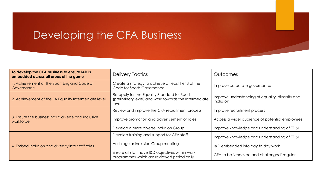#### Developing the CFA Business

| To develop the CFA business to ensure I&D is<br>embedded across all areas of the game | <b>Delivery Tactics</b>                                                                                        | Outcomes                                                      |
|---------------------------------------------------------------------------------------|----------------------------------------------------------------------------------------------------------------|---------------------------------------------------------------|
| . Achievement of the Sport England Code of<br>Governance                              | Create a strategy to achieve at least Tier 3 of the<br>Code for Sports Governance                              | Improve corporate governance                                  |
| 2. Achievement of the FA Equality Intermediate level                                  | Re-apply for the Equality Standard for Sport<br>(preliminary level) and work towards the Intermediate<br>level | Improve understanding of equality, diversity and<br>inclusion |
|                                                                                       | Review and improve the CFA recruitment process                                                                 | Improve recruitment process                                   |
| 3. Ensure the business has a diverse and inclusive<br>workforce                       | Improve promotion and advertisement of roles                                                                   | Access a wider audience of potential employees                |
|                                                                                       | Develop a more diverse Inclusion Group                                                                         | Improve knowledge and understanding of ED&I                   |
|                                                                                       | Develop training and support for CFA staff                                                                     | Improve knowledge and understanding of ED&I                   |
| 4. Embed inclusion and diversity into staff roles                                     | Host regular Inclusion Group meetings                                                                          | I&D embedded into day to day work                             |
|                                                                                       | Ensure all staff have I&D objectives within work<br>programmes which are reviewed periodically                 | CFA to be 'checked and challenged' regular                    |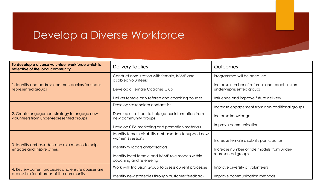#### Develop a Diverse Workforce

| To develop a diverse volunteer workforce which is<br>reflective of the local community          | <b>Delivery Tactics</b>                                                                                                                                                                           | Outcomes                                                                                                                                         |
|-------------------------------------------------------------------------------------------------|---------------------------------------------------------------------------------------------------------------------------------------------------------------------------------------------------|--------------------------------------------------------------------------------------------------------------------------------------------------|
| 1. Identify and address common barriers for under-<br>represented groups                        | Conduct consultation with female, BAME and<br>disabled volunteers<br>Develop a Female Coaches Club<br>Deliver female only referee and coaching courses                                            | Programmes will be need-led<br>Increase number of referees and coaches from<br>under-represented groups<br>Influence and improve future delivery |
| 2. Create engagement strategy to engage new<br>volunteers from under-represented groups         | Develop stakeholder contact list<br>Develop crib sheet to help gather information from<br>new community groups<br>Develop CFA marketing and promotion materials                                   | Increase engagement from non-traditional groups<br>Increase knowledge<br>Improve communication                                                   |
| 3. Identify ambassadors and role models to help<br>engage and inspire others                    | Identify female disability ambassadors to support new<br>women's sessions<br><b>Identify Wildcats ambassadors</b><br>Identify local female and BAME role models within<br>coaching and refereeing | Increase female disability participation<br>Increase number of role models from under-<br>represented groups                                     |
| 4. Review current processes and ensure courses are<br>accessible for all areas of the community | Work with Inclusion Group to assess current processes<br>Identify new strategies through customer feedback                                                                                        | Improve diversity of volunteers<br>Improve communication methods                                                                                 |